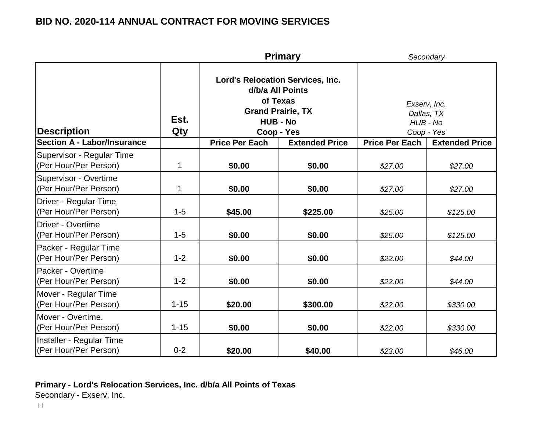|                                                       |              |                                                                                                                                      | <b>Primary</b>        | Secondary                                            |                       |
|-------------------------------------------------------|--------------|--------------------------------------------------------------------------------------------------------------------------------------|-----------------------|------------------------------------------------------|-----------------------|
| <b>Description</b>                                    | Est.<br>Qty  | <b>Lord's Relocation Services, Inc.</b><br>d/b/a All Points<br>of Texas<br><b>Grand Prairie, TX</b><br><b>HUB - No</b><br>Coop - Yes |                       | Exserv, Inc.<br>Dallas, TX<br>HUB - No<br>Coop - Yes |                       |
| <b>Section A - Labor/Insurance</b>                    |              | <b>Price Per Each</b>                                                                                                                | <b>Extended Price</b> | <b>Price Per Each</b>                                | <b>Extended Price</b> |
| Supervisor - Regular Time<br>(Per Hour/Per Person)    | $\mathbf{1}$ | \$0.00                                                                                                                               | \$0.00                | \$27.00                                              | \$27.00               |
| <b>Supervisor - Overtime</b><br>(Per Hour/Per Person) | $\mathbf{1}$ | \$0.00                                                                                                                               | \$0.00                | \$27.00                                              | \$27.00               |
| Driver - Regular Time<br>(Per Hour/Per Person)        | $1 - 5$      | \$45.00                                                                                                                              | \$225.00              | \$25.00                                              | \$125.00              |
| Driver - Overtime<br>(Per Hour/Per Person)            | $1 - 5$      | \$0.00                                                                                                                               | \$0.00                | \$25.00                                              | \$125.00              |
| Packer - Regular Time<br>(Per Hour/Per Person)        | $1 - 2$      | \$0.00                                                                                                                               | \$0.00                | \$22.00                                              | \$44.00               |
| Packer - Overtime<br>(Per Hour/Per Person)            | $1 - 2$      | \$0.00                                                                                                                               | \$0.00                | \$22.00                                              | \$44.00               |
| Mover - Regular Time<br>(Per Hour/Per Person)         | $1 - 15$     | \$20.00                                                                                                                              | \$300.00              | \$22.00                                              | \$330.00              |
| Mover - Overtime.<br>(Per Hour/Per Person)            | $1 - 15$     | \$0.00                                                                                                                               | \$0.00                | \$22.00                                              | \$330.00              |
| Installer - Regular Time<br>(Per Hour/Per Person)     | $0 - 2$      | \$20.00                                                                                                                              | \$40.00               | \$23.00                                              | \$46.00               |

### **Primary - Lord's Relocation Services, Inc. d/b/a All Points of Texas**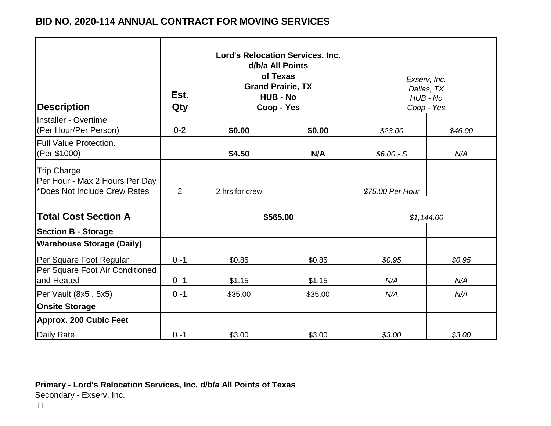| <b>Description</b>                                                                   | Est.<br>Qty | <b>Lord's Relocation Services, Inc.</b><br>d/b/a All Points<br>of Texas<br><b>Grand Prairie, TX</b><br><b>HUB - No</b><br>Coop - Yes |         | Exserv, Inc.<br>Dallas, TX<br>$HUB - No$<br>Coop - Yes |         |
|--------------------------------------------------------------------------------------|-------------|--------------------------------------------------------------------------------------------------------------------------------------|---------|--------------------------------------------------------|---------|
| Installer - Overtime                                                                 | $0 - 2$     |                                                                                                                                      |         |                                                        |         |
| (Per Hour/Per Person)                                                                |             | \$0.00                                                                                                                               | \$0.00  | \$23.00                                                | \$46.00 |
| <b>Full Value Protection.</b><br>(Per \$1000)                                        |             | \$4.50                                                                                                                               | N/A     | $$6.00-S$                                              | N/A     |
| <b>Trip Charge</b><br>Per Hour - Max 2 Hours Per Day<br>*Does Not Include Crew Rates | 2           | 2 hrs for crew                                                                                                                       |         | \$75.00 Per Hour                                       |         |
| <b>Total Cost Section A</b>                                                          |             | \$565.00                                                                                                                             |         | \$1,144.00                                             |         |
| <b>Section B - Storage</b>                                                           |             |                                                                                                                                      |         |                                                        |         |
| <b>Warehouse Storage (Daily)</b>                                                     |             |                                                                                                                                      |         |                                                        |         |
| Per Square Foot Regular                                                              | $0 - 1$     | \$0.85                                                                                                                               | \$0.85  | \$0.95                                                 | \$0.95  |
| Per Square Foot Air Conditioned<br>and Heated                                        | $0 - 1$     | \$1.15                                                                                                                               | \$1.15  | N/A                                                    | N/A     |
|                                                                                      |             |                                                                                                                                      |         |                                                        |         |
| Per Vault (8x5. 5x5)                                                                 | $0 - 1$     | \$35.00                                                                                                                              | \$35.00 | N/A                                                    | N/A     |
| <b>Onsite Storage</b>                                                                |             |                                                                                                                                      |         |                                                        |         |
| Approx. 200 Cubic Feet                                                               |             |                                                                                                                                      |         |                                                        |         |
| Daily Rate                                                                           | $0 - 1$     | \$3.00                                                                                                                               | \$3.00  | \$3.00                                                 | \$3.00  |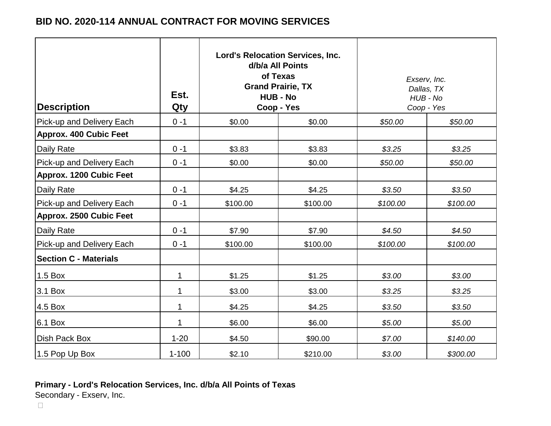| <b>Description</b>            | Est.<br>Qty  | <b>Lord's Relocation Services, Inc.</b><br>d/b/a All Points<br>of Texas<br><b>Grand Prairie, TX</b><br><b>HUB - No</b><br>Coop - Yes |          | Exserv, Inc.<br>Dallas, TX<br>$HUB - No$<br>Coop - Yes |          |
|-------------------------------|--------------|--------------------------------------------------------------------------------------------------------------------------------------|----------|--------------------------------------------------------|----------|
| Pick-up and Delivery Each     | $0 - 1$      | \$0.00                                                                                                                               | \$0.00   | \$50.00                                                | \$50.00  |
| <b>Approx. 400 Cubic Feet</b> |              |                                                                                                                                      |          |                                                        |          |
| <b>Daily Rate</b>             | $0 - 1$      | \$3.83                                                                                                                               | \$3.83   | \$3.25                                                 | \$3.25   |
| Pick-up and Delivery Each     | $0 - 1$      | \$0.00                                                                                                                               | \$0.00   | \$50.00                                                | \$50.00  |
| Approx. 1200 Cubic Feet       |              |                                                                                                                                      |          |                                                        |          |
| <b>Daily Rate</b>             | $0 - 1$      | \$4.25                                                                                                                               | \$4.25   | \$3.50                                                 | \$3.50   |
| Pick-up and Delivery Each     | $0 - 1$      | \$100.00                                                                                                                             | \$100.00 | \$100.00                                               | \$100.00 |
| Approx. 2500 Cubic Feet       |              |                                                                                                                                      |          |                                                        |          |
| <b>Daily Rate</b>             | $0 - 1$      | \$7.90                                                                                                                               | \$7.90   | \$4.50                                                 | \$4.50   |
| Pick-up and Delivery Each     | $0 - 1$      | \$100.00                                                                                                                             | \$100.00 | \$100.00                                               | \$100.00 |
| <b>Section C - Materials</b>  |              |                                                                                                                                      |          |                                                        |          |
| 1.5 Box                       | $\mathbf{1}$ | \$1.25                                                                                                                               | \$1.25   | \$3.00                                                 | \$3.00   |
| 3.1 Box                       | 1            | \$3.00                                                                                                                               | \$3.00   | \$3.25                                                 | \$3.25   |
| 4.5 Box                       | $\mathbf{1}$ | \$4.25                                                                                                                               | \$4.25   | \$3.50                                                 | \$3.50   |
| 6.1 Box                       | $\mathbf 1$  | \$6.00                                                                                                                               | \$6.00   | \$5.00                                                 | \$5.00   |
| Dish Pack Box                 | $1 - 20$     | \$4.50                                                                                                                               | \$90.00  | \$7.00                                                 | \$140.00 |
| 1.5 Pop Up Box                | $1 - 100$    | \$2.10                                                                                                                               | \$210.00 | \$3.00                                                 | \$300.00 |

### **Primary - Lord's Relocation Services, Inc. d/b/a All Points of Texas**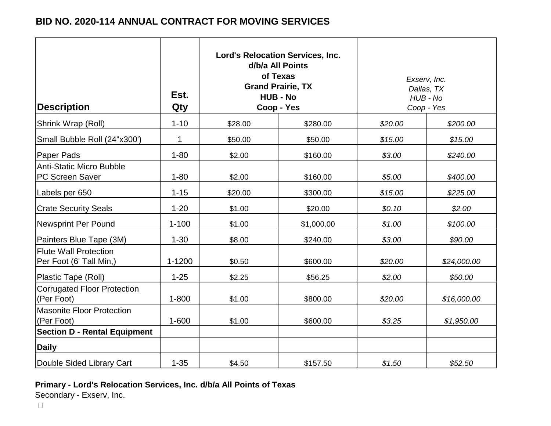| <b>Description</b>                                        | Est.<br>Qty | <b>Lord's Relocation Services, Inc.</b><br>d/b/a All Points<br>of Texas<br><b>Grand Prairie, TX</b><br><b>HUB - No</b><br>Coop - Yes |            | Exserv, Inc.<br>Dallas, TX<br>$HUB - No$<br>Coop - Yes |             |
|-----------------------------------------------------------|-------------|--------------------------------------------------------------------------------------------------------------------------------------|------------|--------------------------------------------------------|-------------|
| Shrink Wrap (Roll)                                        | $1 - 10$    | \$28.00                                                                                                                              | \$280.00   | \$20.00                                                | \$200.00    |
| Small Bubble Roll (24"x300")                              | 1           | \$50.00                                                                                                                              | \$50.00    | \$15.00                                                | \$15.00     |
| <b>Paper Pads</b>                                         | $1 - 80$    | \$2.00                                                                                                                               | \$160.00   | \$3.00                                                 | \$240.00    |
| <b>Anti-Static Micro Bubble</b><br><b>PC Screen Saver</b> | $1 - 80$    | \$2.00                                                                                                                               | \$160.00   | \$5.00                                                 | \$400.00    |
| Labels per 650                                            | $1 - 15$    | \$20.00                                                                                                                              | \$300.00   | \$15.00                                                | \$225.00    |
| <b>Crate Security Seals</b>                               | $1 - 20$    | \$1.00                                                                                                                               | \$20.00    | \$0.10                                                 | \$2.00      |
| <b>Newsprint Per Pound</b>                                | $1 - 100$   | \$1.00                                                                                                                               | \$1,000.00 | \$1.00                                                 | \$100.00    |
| Painters Blue Tape (3M)                                   | $1 - 30$    | \$8.00                                                                                                                               | \$240.00   | \$3.00                                                 | \$90.00     |
| <b>Flute Wall Protection</b><br>Per Foot (6' Tall Min,)   | 1-1200      | \$0.50                                                                                                                               | \$600.00   | \$20.00                                                | \$24,000.00 |
| Plastic Tape (Roll)                                       | $1 - 25$    | \$2.25                                                                                                                               | \$56.25    | \$2.00                                                 | \$50.00     |
| <b>Corrugated Floor Protection</b><br>(Per Foot)          | $1 - 800$   | \$1.00                                                                                                                               | \$800.00   | \$20.00                                                | \$16,000.00 |
| <b>Masonite Floor Protection</b><br>(Per Foot)            | $1 - 600$   | \$1.00                                                                                                                               | \$600.00   | \$3.25                                                 | \$1,950.00  |
| <b>Section D - Rental Equipment</b>                       |             |                                                                                                                                      |            |                                                        |             |
| <b>Daily</b>                                              |             |                                                                                                                                      |            |                                                        |             |
| Double Sided Library Cart                                 | $1 - 35$    | \$4.50                                                                                                                               | \$157.50   | \$1.50                                                 | \$52.50     |

**Primary - Lord's Relocation Services, Inc. d/b/a All Points of Texas**

Secondary - Exserv, Inc.

 $\Box$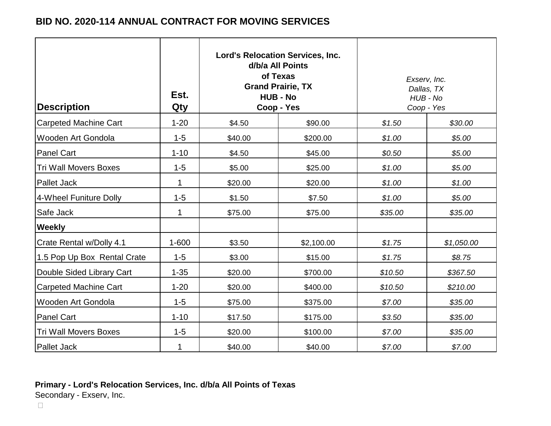| <b>Description</b>           | Est.<br>Qty  | <b>Lord's Relocation Services, Inc.</b><br>d/b/a All Points<br>of Texas<br><b>Grand Prairie, TX</b><br><b>HUB - No</b><br>Coop - Yes |            | Exserv, Inc.<br>Dallas, TX<br>$HUB - No$<br>Coop - Yes |            |
|------------------------------|--------------|--------------------------------------------------------------------------------------------------------------------------------------|------------|--------------------------------------------------------|------------|
| <b>Carpeted Machine Cart</b> | $1 - 20$     | \$4.50                                                                                                                               | \$90.00    | \$1.50                                                 | \$30.00    |
| Wooden Art Gondola           | $1 - 5$      | \$40.00                                                                                                                              | \$200.00   | \$1.00                                                 | \$5.00     |
| <b>Panel Cart</b>            | $1 - 10$     | \$4.50                                                                                                                               | \$45.00    | \$0.50                                                 | \$5.00     |
| <b>Tri Wall Movers Boxes</b> | $1 - 5$      | \$5.00                                                                                                                               | \$25.00    | \$1.00                                                 | \$5.00     |
| <b>Pallet Jack</b>           | $\mathbf{1}$ | \$20.00                                                                                                                              | \$20.00    | \$1.00                                                 | \$1.00     |
| 4-Wheel Funiture Dolly       | $1 - 5$      | \$1.50                                                                                                                               | \$7.50     | \$1.00                                                 | \$5.00     |
| Safe Jack                    | $\mathbf{1}$ | \$75.00                                                                                                                              | \$75.00    | \$35.00                                                | \$35.00    |
| <b>Weekly</b>                |              |                                                                                                                                      |            |                                                        |            |
| Crate Rental w/Dolly 4.1     | $1 - 600$    | \$3.50                                                                                                                               | \$2,100.00 | \$1.75                                                 | \$1,050.00 |
| 1.5 Pop Up Box Rental Crate  | $1 - 5$      | \$3.00                                                                                                                               | \$15.00    | \$1.75                                                 | \$8.75     |
| Double Sided Library Cart    | $1 - 35$     | \$20.00                                                                                                                              | \$700.00   | \$10.50                                                | \$367.50   |
| <b>Carpeted Machine Cart</b> | $1 - 20$     | \$20.00                                                                                                                              | \$400.00   | \$10.50                                                | \$210.00   |
| Wooden Art Gondola           | $1 - 5$      | \$75.00                                                                                                                              | \$375.00   | \$7.00                                                 | \$35.00    |
| <b>Panel Cart</b>            | $1 - 10$     | \$17.50                                                                                                                              | \$175.00   | \$3.50                                                 | \$35.00    |
| <b>Tri Wall Movers Boxes</b> | $1 - 5$      | \$20.00                                                                                                                              | \$100.00   | \$7.00                                                 | \$35.00    |
| <b>Pallet Jack</b>           | 1            | \$40.00                                                                                                                              | \$40.00    | \$7.00                                                 | \$7.00     |

# **Primary - Lord's Relocation Services, Inc. d/b/a All Points of Texas**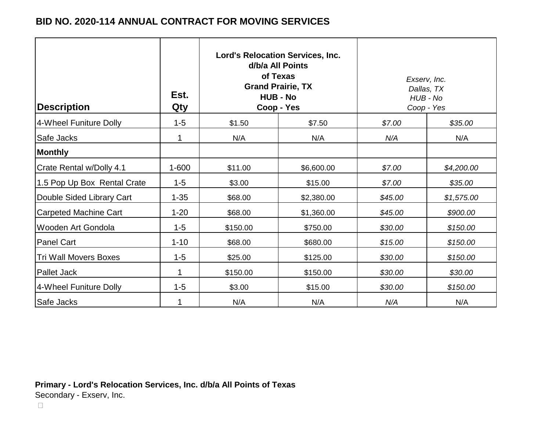| <b>Description</b>           | Est.<br>Qty |          | <b>Lord's Relocation Services, Inc.</b><br>d/b/a All Points<br>of Texas<br><b>Grand Prairie, TX</b><br><b>HUB - No</b><br>Coop - Yes |         | Exserv, Inc.<br>Dallas, TX<br>HUB - No<br>Coop - Yes |
|------------------------------|-------------|----------|--------------------------------------------------------------------------------------------------------------------------------------|---------|------------------------------------------------------|
| 4-Wheel Funiture Dolly       | $1 - 5$     | \$1.50   | \$7.50                                                                                                                               | \$7.00  | \$35.00                                              |
| Safe Jacks                   | 1           | N/A      | N/A                                                                                                                                  | N/A     | N/A                                                  |
| <b>Monthly</b>               |             |          |                                                                                                                                      |         |                                                      |
| Crate Rental w/Dolly 4.1     | $1 - 600$   | \$11.00  | \$6,600.00                                                                                                                           | \$7.00  | \$4,200.00                                           |
| 1.5 Pop Up Box Rental Crate  | $1 - 5$     | \$3.00   | \$15.00                                                                                                                              | \$7.00  | \$35.00                                              |
| Double Sided Library Cart    | $1 - 35$    | \$68.00  | \$2,380.00                                                                                                                           | \$45.00 | \$1,575.00                                           |
| <b>Carpeted Machine Cart</b> | $1 - 20$    | \$68.00  | \$1,360.00                                                                                                                           | \$45.00 | \$900.00                                             |
| Wooden Art Gondola           | $1 - 5$     | \$150.00 | \$750.00                                                                                                                             | \$30.00 | \$150.00                                             |
| <b>Panel Cart</b>            | $1 - 10$    | \$68.00  | \$680.00                                                                                                                             | \$15.00 | \$150.00                                             |
| <b>Tri Wall Movers Boxes</b> | $1 - 5$     | \$25.00  | \$125.00                                                                                                                             | \$30.00 | \$150.00                                             |
| <b>Pallet Jack</b>           | 1           | \$150.00 | \$150.00                                                                                                                             | \$30.00 | \$30.00                                              |
| 4-Wheel Funiture Dolly       | $1 - 5$     | \$3.00   | \$15.00                                                                                                                              | \$30.00 | \$150.00                                             |
| Safe Jacks                   | 1           | N/A      | N/A                                                                                                                                  | N/A     | N/A                                                  |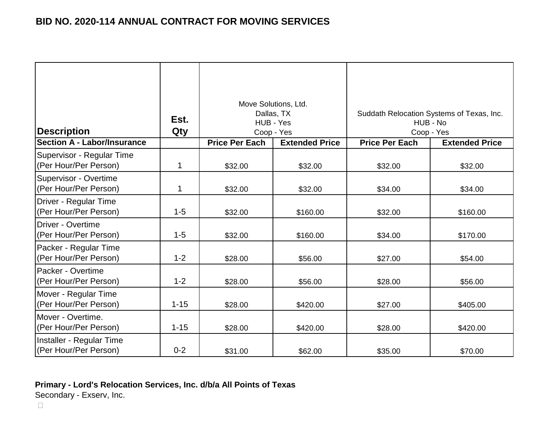| Description                                        | Est.<br>Qty | Move Solutions, Ltd.<br>Dallas, TX<br>HUB - Yes<br>Coop - Yes |                       |                       | Suddath Relocation Systems of Texas, Inc.<br>HUB - No<br>Coop - Yes |
|----------------------------------------------------|-------------|---------------------------------------------------------------|-----------------------|-----------------------|---------------------------------------------------------------------|
| <b>Section A - Labor/Insurance</b>                 |             | <b>Price Per Each</b>                                         | <b>Extended Price</b> | <b>Price Per Each</b> | <b>Extended Price</b>                                               |
| Supervisor - Regular Time<br>(Per Hour/Per Person) | 1           | \$32.00                                                       | \$32.00               | \$32.00               | \$32.00                                                             |
| Supervisor - Overtime<br>(Per Hour/Per Person)     | 1           | \$32.00                                                       | \$32.00               | \$34.00               | \$34.00                                                             |
| Driver - Regular Time<br>(Per Hour/Per Person)     | $1 - 5$     | \$32.00                                                       | \$160.00              | \$32.00               | \$160.00                                                            |
| Driver - Overtime<br>(Per Hour/Per Person)         | $1 - 5$     | \$32.00                                                       | \$160.00              | \$34.00               | \$170.00                                                            |
| Packer - Regular Time<br>(Per Hour/Per Person)     | $1 - 2$     | \$28.00                                                       | \$56.00               | \$27.00               | \$54.00                                                             |
| <b>IPacker - Overtime</b><br>(Per Hour/Per Person) | $1 - 2$     | \$28.00                                                       | \$56.00               | \$28.00               | \$56.00                                                             |
| Mover - Regular Time<br>(Per Hour/Per Person)      | $1 - 15$    | \$28.00                                                       | \$420.00              | \$27.00               | \$405.00                                                            |
| Mover - Overtime.<br>(Per Hour/Per Person)         | $1 - 15$    | \$28.00                                                       | \$420.00              | \$28.00               | \$420.00                                                            |
| Installer - Regular Time<br>(Per Hour/Per Person)  | $0 - 2$     | \$31.00                                                       | \$62.00               | \$35.00               | \$70.00                                                             |

### **Primary - Lord's Relocation Services, Inc. d/b/a All Points of Texas**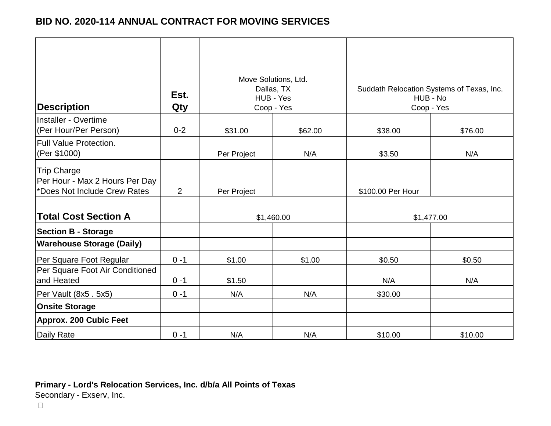|                                                                               |         | Move Solutions, Ltd.<br>Dallas, TX |         | Suddath Relocation Systems of Texas, Inc. |            |  |
|-------------------------------------------------------------------------------|---------|------------------------------------|---------|-------------------------------------------|------------|--|
|                                                                               | Est.    | HUB - Yes                          |         | HUB - No                                  |            |  |
| <b>Description</b>                                                            | Qty     | Coop - Yes                         |         | Coop - Yes                                |            |  |
| Installer - Overtime<br>(Per Hour/Per Person)                                 | $0 - 2$ | \$31.00                            | \$62.00 | \$38.00                                   | \$76.00    |  |
| <b>Full Value Protection.</b><br>(Per \$1000)                                 |         | Per Project                        | N/A     | \$3.50                                    | N/A        |  |
| Trip Charge<br>Per Hour - Max 2 Hours Per Day<br>*Does Not Include Crew Rates | 2       | Per Project                        |         | \$100.00 Per Hour                         |            |  |
| <b>Total Cost Section A</b>                                                   |         | \$1,460.00                         |         |                                           | \$1,477.00 |  |
| <b>Section B - Storage</b>                                                    |         |                                    |         |                                           |            |  |
| <b>Warehouse Storage (Daily)</b>                                              |         |                                    |         |                                           |            |  |
| Per Square Foot Regular                                                       | $0 - 1$ | \$1.00                             | \$1.00  | \$0.50                                    | \$0.50     |  |
| Per Square Foot Air Conditioned<br>and Heated                                 | $0 - 1$ | \$1.50                             |         | N/A                                       | N/A        |  |
| Per Vault (8x5. 5x5)                                                          | $0 - 1$ | N/A                                | N/A     | \$30.00                                   |            |  |
| <b>Onsite Storage</b>                                                         |         |                                    |         |                                           |            |  |
| Approx. 200 Cubic Feet                                                        |         |                                    |         |                                           |            |  |
| <b>Daily Rate</b>                                                             | $0 - 1$ | N/A                                | N/A     | \$10.00                                   | \$10.00    |  |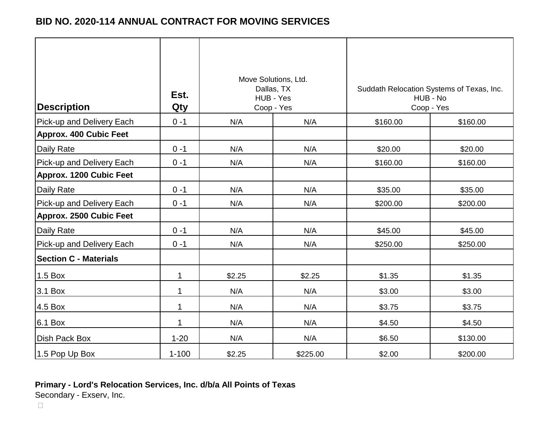| <b>Description</b>             | Est.<br>Qty | Move Solutions, Ltd.<br>Dallas, TX<br>HUB - Yes<br>Coop - Yes |          | Suddath Relocation Systems of Texas, Inc.<br>HUB - No<br>Coop - Yes |          |
|--------------------------------|-------------|---------------------------------------------------------------|----------|---------------------------------------------------------------------|----------|
| Pick-up and Delivery Each      | $0 - 1$     | N/A                                                           | N/A      | \$160.00                                                            | \$160.00 |
| <b>Approx. 400 Cubic Feet</b>  |             |                                                               |          |                                                                     |          |
| Daily Rate                     | $0 - 1$     | N/A                                                           | N/A      | \$20.00                                                             | \$20.00  |
| Pick-up and Delivery Each      | $0 - 1$     | N/A                                                           | N/A      | \$160.00                                                            | \$160.00 |
| <b>Approx. 1200 Cubic Feet</b> |             |                                                               |          |                                                                     |          |
| Daily Rate                     | $0 - 1$     | N/A                                                           | N/A      | \$35.00                                                             | \$35.00  |
| Pick-up and Delivery Each      | $0 - 1$     | N/A                                                           | N/A      | \$200.00                                                            | \$200.00 |
| <b>Approx. 2500 Cubic Feet</b> |             |                                                               |          |                                                                     |          |
| Daily Rate                     | $0 - 1$     | N/A                                                           | N/A      | \$45.00                                                             | \$45.00  |
| Pick-up and Delivery Each      | $0 - 1$     | N/A                                                           | N/A      | \$250.00                                                            | \$250.00 |
| <b>Section C - Materials</b>   |             |                                                               |          |                                                                     |          |
| 1.5 Box                        | 1           | \$2.25                                                        | \$2.25   | \$1.35                                                              | \$1.35   |
| 3.1 Box                        | $\mathbf 1$ | N/A                                                           | N/A      | \$3.00                                                              | \$3.00   |
| 4.5 Box                        | 1           | N/A                                                           | N/A      | \$3.75                                                              | \$3.75   |
| 6.1 Box                        | 1           | N/A                                                           | N/A      | \$4.50                                                              | \$4.50   |
| Dish Pack Box                  | $1 - 20$    | N/A                                                           | N/A      | \$6.50                                                              | \$130.00 |
| 1.5 Pop Up Box                 | $1 - 100$   | \$2.25                                                        | \$225.00 | \$2.00                                                              | \$200.00 |

### **Primary - Lord's Relocation Services, Inc. d/b/a All Points of Texas**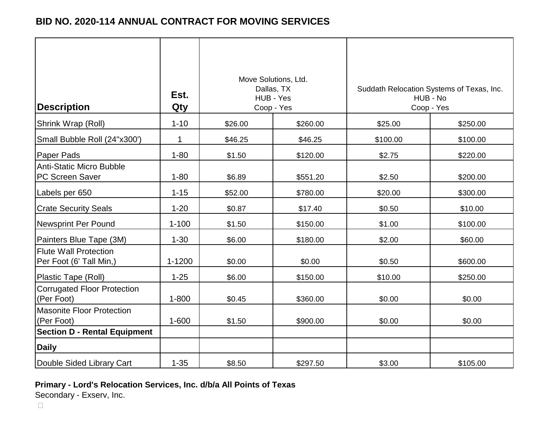| <b>Description</b>                                      | Est.<br>Qty | Move Solutions, Ltd.<br>Dallas, TX<br>HUB - Yes<br>Coop - Yes |          |          | Suddath Relocation Systems of Texas, Inc.<br>HUB - No<br>Coop - Yes |  |
|---------------------------------------------------------|-------------|---------------------------------------------------------------|----------|----------|---------------------------------------------------------------------|--|
| Shrink Wrap (Roll)                                      | $1 - 10$    | \$26.00                                                       | \$260.00 | \$25.00  | \$250.00                                                            |  |
| Small Bubble Roll (24"x300")                            | $\mathbf 1$ | \$46.25                                                       | \$46.25  | \$100.00 | \$100.00                                                            |  |
| Paper Pads                                              | $1 - 80$    | \$1.50                                                        | \$120.00 | \$2.75   | \$220.00                                                            |  |
| <b>Anti-Static Micro Bubble</b><br>PC Screen Saver      | $1 - 80$    | \$6.89                                                        | \$551.20 | \$2.50   | \$200.00                                                            |  |
| Labels per 650                                          | $1 - 15$    | \$52.00                                                       | \$780.00 | \$20.00  | \$300.00                                                            |  |
| <b>Crate Security Seals</b>                             | $1 - 20$    | \$0.87                                                        | \$17.40  | \$0.50   | \$10.00                                                             |  |
| <b>Newsprint Per Pound</b>                              | $1 - 100$   | \$1.50                                                        | \$150.00 | \$1.00   | \$100.00                                                            |  |
| Painters Blue Tape (3M)                                 | $1 - 30$    | \$6.00                                                        | \$180.00 | \$2.00   | \$60.00                                                             |  |
| <b>Flute Wall Protection</b><br>Per Foot (6' Tall Min,) | $1 - 1200$  | \$0.00                                                        | \$0.00   | \$0.50   | \$600.00                                                            |  |
| Plastic Tape (Roll)                                     | $1 - 25$    | \$6.00                                                        | \$150.00 | \$10.00  | \$250.00                                                            |  |
| <b>Corrugated Floor Protection</b><br>(Per Foot)        | $1 - 800$   | \$0.45                                                        | \$360.00 | \$0.00   | \$0.00                                                              |  |
| <b>Masonite Floor Protection</b><br>(Per Foot)          | $1 - 600$   | \$1.50                                                        | \$900.00 | \$0.00   | \$0.00                                                              |  |
| <b>Section D - Rental Equipment</b>                     |             |                                                               |          |          |                                                                     |  |
| <b>Daily</b>                                            |             |                                                               |          |          |                                                                     |  |
| Double Sided Library Cart                               | $1 - 35$    | \$8.50                                                        | \$297.50 | \$3.00   | \$105.00                                                            |  |

### **Primary - Lord's Relocation Services, Inc. d/b/a All Points of Texas**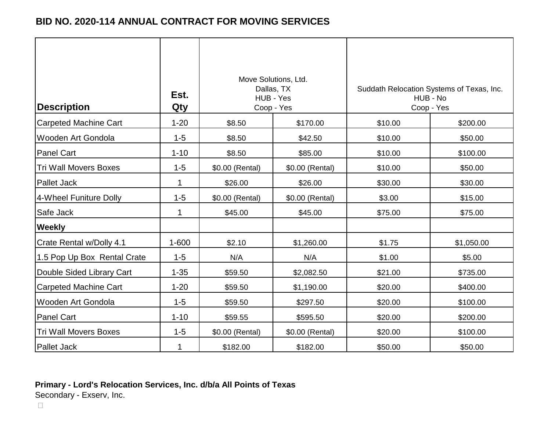| <b>Description</b>           | Est.<br>Qty | Move Solutions, Ltd.<br>Dallas, TX<br>HUB - Yes<br>Coop - Yes |                 |         | Suddath Relocation Systems of Texas, Inc.<br>HUB - No<br>Coop - Yes |
|------------------------------|-------------|---------------------------------------------------------------|-----------------|---------|---------------------------------------------------------------------|
| Carpeted Machine Cart        | $1 - 20$    | \$8.50                                                        | \$170.00        | \$10.00 | \$200.00                                                            |
| <b>Wooden Art Gondola</b>    | $1 - 5$     | \$8.50                                                        | \$42.50         | \$10.00 | \$50.00                                                             |
| <b>Panel Cart</b>            | $1 - 10$    | \$8.50                                                        | \$85.00         | \$10.00 | \$100.00                                                            |
| <b>Tri Wall Movers Boxes</b> | $1 - 5$     | \$0.00 (Rental)                                               | \$0.00 (Rental) | \$10.00 | \$50.00                                                             |
| <b>Pallet Jack</b>           | $\mathbf 1$ | \$26.00                                                       | \$26.00         | \$30.00 | \$30.00                                                             |
| 4-Wheel Funiture Dolly       | $1 - 5$     | \$0.00 (Rental)                                               | \$0.00 (Rental) | \$3.00  | \$15.00                                                             |
| Safe Jack                    | $\mathbf 1$ | \$45.00                                                       | \$45.00         | \$75.00 | \$75.00                                                             |
| <b>Weekly</b>                |             |                                                               |                 |         |                                                                     |
| Crate Rental w/Dolly 4.1     | $1 - 600$   | \$2.10                                                        | \$1,260.00      | \$1.75  | \$1,050.00                                                          |
| 1.5 Pop Up Box Rental Crate  | $1 - 5$     | N/A                                                           | N/A             | \$1.00  | \$5.00                                                              |
| Double Sided Library Cart    | $1 - 35$    | \$59.50                                                       | \$2,082.50      | \$21.00 | \$735.00                                                            |
| <b>Carpeted Machine Cart</b> | $1 - 20$    | \$59.50                                                       | \$1,190.00      | \$20.00 | \$400.00                                                            |
| Wooden Art Gondola           | $1 - 5$     | \$59.50                                                       | \$297.50        | \$20.00 | \$100.00                                                            |
| <b>Panel Cart</b>            | $1 - 10$    | \$59.55                                                       | \$595.50        | \$20.00 | \$200.00                                                            |
| <b>Tri Wall Movers Boxes</b> | $1 - 5$     | \$0.00 (Rental)                                               | \$0.00 (Rental) | \$20.00 | \$100.00                                                            |
| <b>Pallet Jack</b>           | 1           | \$182.00                                                      | \$182.00        | \$50.00 | \$50.00                                                             |

# **Primary - Lord's Relocation Services, Inc. d/b/a All Points of Texas**